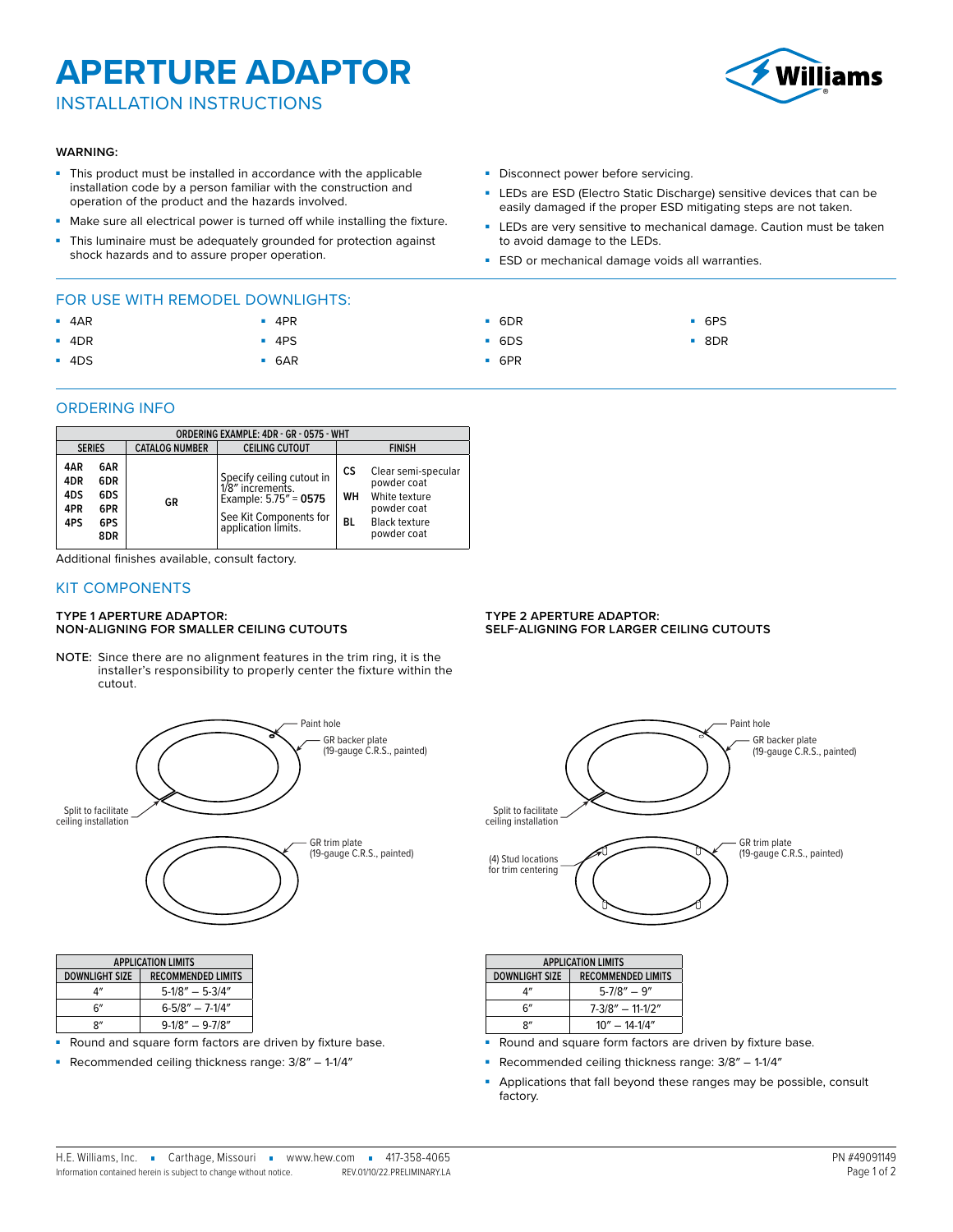## **APERTURE ADAPTOR**

INSTALLATION INSTRUCTIONS

#### **WARNING:**

- This product must be installed in accordance with the applicable installation code by a person familiar with the construction and operation of the product and the hazards involved.
- Make sure all electrical power is turned off while installing the fixture.

■ 4PR ■ 4PS ■ 6AR

This luminaire must be adequately grounded for protection against shock hazards and to assure proper operation.

## FOR USE WITH REMODEL DOWNLIGHTS:

- 4AR
- 4DR
- 4DS
- 

#### ORDERING INFO

| ORDERING EXAMPLE: 4DR - GR - 0575 - WHT |                                        |                       |                                                                                                                            |                |                                                                                                           |  |  |  |
|-----------------------------------------|----------------------------------------|-----------------------|----------------------------------------------------------------------------------------------------------------------------|----------------|-----------------------------------------------------------------------------------------------------------|--|--|--|
| <b>SERIES</b>                           |                                        | <b>CATALOG NUMBER</b> | <b>CEILING CUTOUT</b>                                                                                                      | <b>FINISH</b>  |                                                                                                           |  |  |  |
| 4AR<br>4DR<br>4DS<br>4PR<br>4PS         | 6AR<br>6DR<br>6DS<br>6PR<br>6PS<br>8DR | GR                    | Specify ceiling cutout in<br>1/8" increments.<br>Example: $5.75'' = 0575$<br>See Kit Components for<br>application limits. | CS<br>WН<br>вL | Clear semi-specular<br>powder coat<br>White texture<br>powder coat<br><b>Black texture</b><br>powder coat |  |  |  |

Additional finishes available, consult factory.

### KIT COMPONENTS

#### **TYPE 1 APERTURE ADAPTOR: NON-ALIGNING FOR SMALLER CEILING CUTOUTS**

NOTE: Since there are no alignment features in the trim ring, it is the installer's responsibility to properly center the fixture within the cutout.



| <b>APPLICATION LIMITS</b> |                           |  |  |  |
|---------------------------|---------------------------|--|--|--|
| DOWNLIGHT SIZE            | <b>RECOMMENDED LIMITS</b> |  |  |  |
|                           | $5-1/8" - 5-3/4"$         |  |  |  |
| հ"                        | $6 - 5/8'' - 7 - 1/4''$   |  |  |  |
| יי.                       | $9-1/8" - 9-7/8"$         |  |  |  |

Round and square form factors are driven by fixture base.

■ Recommended ceiling thickness range:  $3/8'' - 1-1/4''$ 

- Disconnect power before servicing.
- LEDs are ESD (Electro Static Discharge) sensitive devices that can be easily damaged if the proper ESD mitigating steps are not taken.
- LEDs are very sensitive to mechanical damage. Caution must be taken to avoid damage to the LEDs.
- **ESD** or mechanical damage voids all warranties.
	-
- 6DS

■ 6PS ■ 8DR

■ 6PR

■ 6DR

**TYPE 2 APERTURE ADAPTOR: SELF-ALIGNING FOR LARGER CEILING CUTOUTS**



| <b>AFFLICATION LIMITS</b> |                           |  |  |  |
|---------------------------|---------------------------|--|--|--|
| <b>DOWNLIGHT SIZE</b>     | <b>RECOMMENDED LIMITS</b> |  |  |  |
| Δ"                        | $5 - 7/8'' - 9''$         |  |  |  |
| հ"                        | $7 - 3/8" - 11 - 1/2"$    |  |  |  |
| R''                       | $10'' - 14 - 1/4''$       |  |  |  |

- Round and square form factors are driven by fixture base.
- Recommended ceiling thickness range: 3/8″ 1-1/4″
- Applications that fall beyond these ranges may be possible, consult factory.